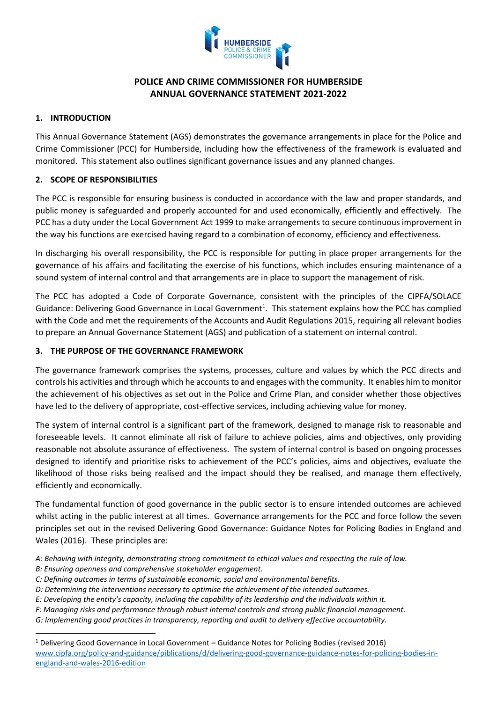

# **POLICE AND CRIME COMMISSIONER FOR HUMBERSIDE ANNUAL GOVERNANCE STATEMENT 2021-2022**

### **1. INTRODUCTION**

This Annual Governance Statement (AGS) demonstrates the governance arrangements in place for the Police and Crime Commissioner (PCC) for Humberside, including how the effectiveness of the framework is evaluated and monitored. This statement also outlines significant governance issues and any planned changes.

### **2. SCOPE OF RESPONSIBILITIES**

The PCC is responsible for ensuring business is conducted in accordance with the law and proper standards, and public money is safeguarded and properly accounted for and used economically, efficiently and effectively. The PCC has a duty under the Local Government Act 1999 to make arrangements to secure continuous improvement in the way his functions are exercised having regard to a combination of economy, efficiency and effectiveness.

In discharging his overall responsibility, the PCC is responsible for putting in place proper arrangements for the governance of his affairs and facilitating the exercise of his functions, which includes ensuring maintenance of a sound system of internal control and that arrangements are in place to support the management of risk.

The PCC has adopted a Code of Corporate Governance, consistent with the principles of the CIPFA/SOLACE Guidance: Delivering Good Governance in Local Government<sup>1</sup>. This statement explains how the PCC has complied with the Code and met the requirements of the Accounts and Audit Regulations 2015, requiring all relevant bodies to prepare an Annual Governance Statement (AGS) and publication of a statement on internal control.

## **3. THE PURPOSE OF THE GOVERNANCE FRAMEWORK**

The governance framework comprises the systems, processes, culture and values by which the PCC directs and controls his activities and through which he accounts to and engages with the community. It enables him to monitor the achievement of his objectives as set out in the Police and Crime Plan, and consider whether those objectives have led to the delivery of appropriate, cost-effective services, including achieving value for money.

The system of internal control is a significant part of the framework, designed to manage risk to reasonable and foreseeable levels. It cannot eliminate all risk of failure to achieve policies, aims and objectives, only providing reasonable not absolute assurance of effectiveness. The system of internal control is based on ongoing processes designed to identify and prioritise risks to achievement of the PCC's policies, aims and objectives, evaluate the likelihood of those risks being realised and the impact should they be realised, and manage them effectively, efficiently and economically.

The fundamental function of good governance in the public sector is to ensure intended outcomes are achieved whilst acting in the public interest at all times. Governance arrangements for the PCC and force follow the seven principles set out in the revised Delivering Good Governance: Guidance Notes for Policing Bodies in England and Wales (2016). These principles are:

- *A: Behaving with integrity, demonstrating strong commitment to ethical values and respecting the rule of law.*
- *B: Ensuring openness and comprehensive stakeholder engagement.*
- *C: Defining outcomes in terms of sustainable economic, social and environmental benefits.*
- *D: Determining the interventions necessary to optimise the achievement of the intended outcomes.*
- *E: Developing the entity's capacity, including the capability of its leadership and the individuals within it.*
- *F: Managing risks and performance through robust internal controls and strong public financial management.*
- *G: Implementing good practices in transparency, reporting and audit to delivery effective accountability.*

<sup>1</sup> Delivering Good Governance in Local Government – Guidance Notes for Policing Bodies (revised 2016) [www.cipfa.org/policy-and-guidance/piblications/d/delivering-good-governance-guidance-notes-for-policing-bodies-in](http://www.cipfa.org/policy-and-guidance/piblications/d/delivering-good-governance-guidance-notes-for-policing-bodies-in-england-and-wales-2016-edition)[england-and-wales-2016-edition](http://www.cipfa.org/policy-and-guidance/piblications/d/delivering-good-governance-guidance-notes-for-policing-bodies-in-england-and-wales-2016-edition)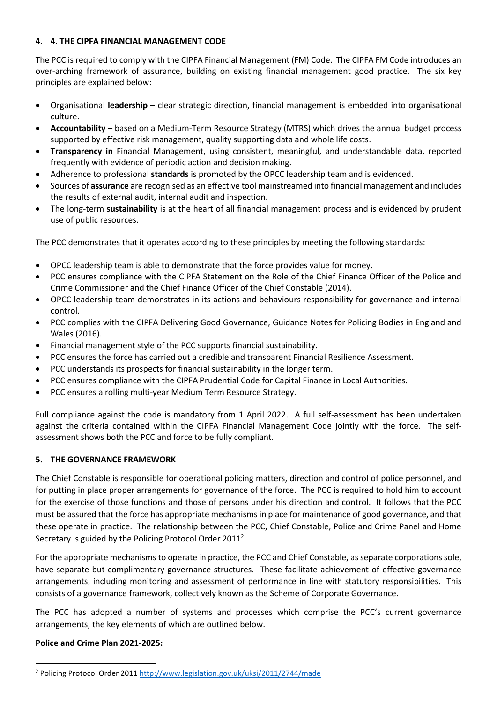### **4. 4. THE CIPFA FINANCIAL MANAGEMENT CODE**

The PCC is required to comply with the CIPFA Financial Management (FM) Code. The CIPFA FM Code introduces an over-arching framework of assurance, building on existing financial management good practice. The six key principles are explained below:

- Organisational **leadership** clear strategic direction, financial management is embedded into organisational culture.
- **Accountability** based on a Medium-Term Resource Strategy (MTRS) which drives the annual budget process supported by effective risk management, quality supporting data and whole life costs.
- **Transparency in** Financial Management, using consistent, meaningful, and understandable data, reported frequently with evidence of periodic action and decision making.
- Adherence to professional **standards** is promoted by the OPCC leadership team and is evidenced.
- Sources of **assurance** are recognised as an effective tool mainstreamed into financial management and includes the results of external audit, internal audit and inspection.
- The long-term **sustainability** is at the heart of all financial management process and is evidenced by prudent use of public resources.

The PCC demonstrates that it operates according to these principles by meeting the following standards:

- OPCC leadership team is able to demonstrate that the force provides value for money.
- PCC ensures compliance with the CIPFA Statement on the Role of the Chief Finance Officer of the Police and Crime Commissioner and the Chief Finance Officer of the Chief Constable (2014).
- OPCC leadership team demonstrates in its actions and behaviours responsibility for governance and internal control.
- PCC complies with the CIPFA Delivering Good Governance, Guidance Notes for Policing Bodies in England and Wales (2016).
- Financial management style of the PCC supports financial sustainability.
- PCC ensures the force has carried out a credible and transparent Financial Resilience Assessment.
- PCC understands its prospects for financial sustainability in the longer term.
- PCC ensures compliance with the CIPFA Prudential Code for Capital Finance in Local Authorities.
- PCC ensures a rolling multi-year Medium Term Resource Strategy.

Full compliance against the code is mandatory from 1 April 2022. A full self-assessment has been undertaken against the criteria contained within the CIPFA Financial Management Code jointly with the force. The selfassessment shows both the PCC and force to be fully compliant.

### **5. THE GOVERNANCE FRAMEWORK**

The Chief Constable is responsible for operational policing matters, direction and control of police personnel, and for putting in place proper arrangements for governance of the force. The PCC is required to hold him to account for the exercise of those functions and those of persons under his direction and control. It follows that the PCC must be assured that the force has appropriate mechanisms in place for maintenance of good governance, and that these operate in practice. The relationship between the PCC, Chief Constable, Police and Crime Panel and Home Secretary is guided by the Policing Protocol Order 2011<sup>2</sup>.

For the appropriate mechanisms to operate in practice, the PCC and Chief Constable, as separate corporations sole, have separate but complimentary governance structures. These facilitate achievement of effective governance arrangements, including monitoring and assessment of performance in line with statutory responsibilities. This consists of a governance framework, collectively known as the Scheme of Corporate Governance.

The PCC has adopted a number of systems and processes which comprise the PCC's current governance arrangements, the key elements of which are outlined below.

### **Police and Crime Plan 2021-2025:**

<sup>2</sup> Policing Protocol Order 2011 <http://www.legislation.gov.uk/uksi/2011/2744/made>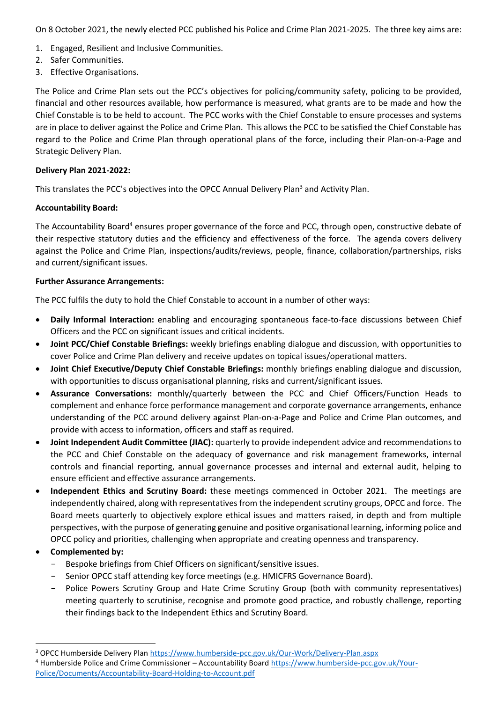On 8 October 2021, the newly elected PCC published his Police and Crime Plan 2021-2025. The three key aims are:

- 1. Engaged, Resilient and Inclusive Communities.
- 2. Safer Communities.
- 3. Effective Organisations.

The Police and Crime Plan sets out the PCC's objectives for policing/community safety, policing to be provided, financial and other resources available, how performance is measured, what grants are to be made and how the Chief Constable is to be held to account. The PCC works with the Chief Constable to ensure processes and systems are in place to deliver against the Police and Crime Plan. This allows the PCC to be satisfied the Chief Constable has regard to the Police and Crime Plan through operational plans of the force, including their Plan-on-a-Page and Strategic Delivery Plan.

#### **Delivery Plan 2021-2022:**

This translates the PCC's objectives into the OPCC Annual Delivery Plan<sup>3</sup> and Activity Plan.

#### **Accountability Board:**

The Accountability Board<sup>4</sup> ensures proper governance of the force and PCC, through open, constructive debate of their respective statutory duties and the efficiency and effectiveness of the force. The agenda covers delivery against the Police and Crime Plan, inspections/audits/reviews, people, finance, collaboration/partnerships, risks and current/significant issues.

#### **Further Assurance Arrangements:**

The PCC fulfils the duty to hold the Chief Constable to account in a number of other ways:

- **Daily Informal Interaction:** enabling and encouraging spontaneous face-to-face discussions between Chief Officers and the PCC on significant issues and critical incidents.
- **Joint PCC/Chief Constable Briefings:** weekly briefings enabling dialogue and discussion, with opportunities to cover Police and Crime Plan delivery and receive updates on topical issues/operational matters.
- **Joint Chief Executive/Deputy Chief Constable Briefings:** monthly briefings enabling dialogue and discussion, with opportunities to discuss organisational planning, risks and current/significant issues.
- **Assurance Conversations:** monthly/quarterly between the PCC and Chief Officers/Function Heads to complement and enhance force performance management and corporate governance arrangements, enhance understanding of the PCC around delivery against Plan-on-a-Page and Police and Crime Plan outcomes, and provide with access to information, officers and staff as required.
- **Joint Independent Audit Committee (JIAC):** quarterly to provide independent advice and recommendations to the PCC and Chief Constable on the adequacy of governance and risk management frameworks, internal controls and financial reporting, annual governance processes and internal and external audit, helping to ensure efficient and effective assurance arrangements.
- **Independent Ethics and Scrutiny Board:** these meetings commenced in October 2021. The meetings are independently chaired, along with representatives from the independent scrutiny groups, OPCC and force. The Board meets quarterly to objectively explore ethical issues and matters raised, in depth and from multiple perspectives, with the purpose of generating genuine and positive organisational learning, informing police and OPCC policy and priorities, challenging when appropriate and creating openness and transparency.
- **Complemented by:**
	- Bespoke briefings from Chief Officers on significant/sensitive issues.
	- Senior OPCC staff attending key force meetings (e.g. HMICFRS Governance Board).
	- Police Powers Scrutiny Group and Hate Crime Scrutiny Group (both with community representatives) meeting quarterly to scrutinise, recognise and promote good practice, and robustly challenge, reporting their findings back to the Independent Ethics and Scrutiny Board.

<sup>3</sup> OPCC Humberside Delivery Plan <https://www.humberside-pcc.gov.uk/Our-Work/Delivery-Plan.aspx>

<sup>4</sup> Humberside Police and Crime Commissioner – Accountability Board [https://www.humberside-pcc.gov.uk/Your-](https://www.humberside-pcc.gov.uk/Your-Police/Documents/Accountability-Board-Holding-to-Account.pdf)[Police/Documents/Accountability-Board-Holding-to-Account.pdf](https://www.humberside-pcc.gov.uk/Your-Police/Documents/Accountability-Board-Holding-to-Account.pdf)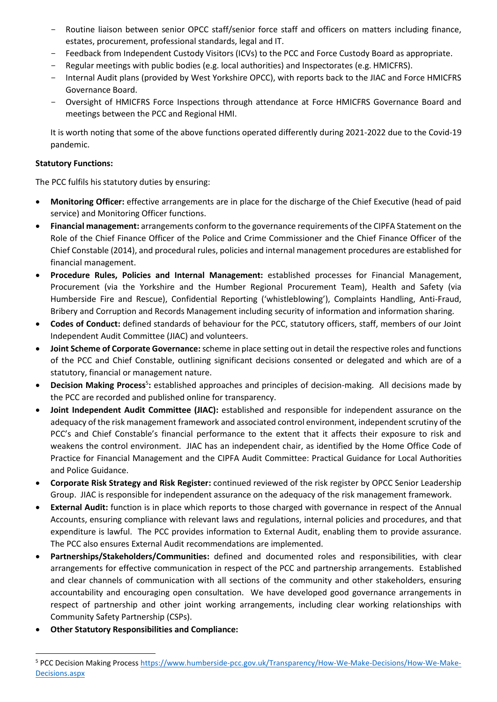- Routine liaison between senior OPCC staff/senior force staff and officers on matters including finance, estates, procurement, professional standards, legal and IT.
- Feedback from Independent Custody Visitors (ICVs) to the PCC and Force Custody Board as appropriate.
- Regular meetings with public bodies (e.g. local authorities) and Inspectorates (e.g. HMICFRS).
- Internal Audit plans (provided by West Yorkshire OPCC), with reports back to the JIAC and Force HMICFRS Governance Board.
- Oversight of HMICFRS Force Inspections through attendance at Force HMICFRS Governance Board and meetings between the PCC and Regional HMI.

It is worth noting that some of the above functions operated differently during 2021-2022 due to the Covid-19 pandemic.

#### **Statutory Functions:**

The PCC fulfils his statutory duties by ensuring:

- **Monitoring Officer:** effective arrangements are in place for the discharge of the Chief Executive (head of paid service) and Monitoring Officer functions.
- **Financial management:** arrangements conform to the governance requirements of the CIPFA Statement on the Role of the Chief Finance Officer of the Police and Crime Commissioner and the Chief Finance Officer of the Chief Constable (2014), and procedural rules, policies and internal management procedures are established for financial management.
- **Procedure Rules, Policies and Internal Management:** established processes for Financial Management, Procurement (via the Yorkshire and the Humber Regional Procurement Team), Health and Safety (via Humberside Fire and Rescue), Confidential Reporting ('whistleblowing'), Complaints Handling, Anti-Fraud, Bribery and Corruption and Records Management including security of information and information sharing.
- **Codes of Conduct:** defined standards of behaviour for the PCC, statutory officers, staff, members of our Joint Independent Audit Committee (JIAC) and volunteers.
- **Joint Scheme of Corporate Governance:**scheme in place setting out in detail the respective roles and functions of the PCC and Chief Constable, outlining significant decisions consented or delegated and which are of a statutory, financial or management nature.
- **Decision Making Process**<sup>5</sup>: established approaches and principles of decision-making. All decisions made by the PCC are recorded and published online for transparency.
- **Joint Independent Audit Committee (JIAC):** established and responsible for independent assurance on the adequacy of the risk management framework and associated control environment, independent scrutiny of the PCC's and Chief Constable's financial performance to the extent that it affects their exposure to risk and weakens the control environment. JIAC has an independent chair, as identified by the Home Office Code of Practice for Financial Management and the CIPFA Audit Committee: Practical Guidance for Local Authorities and Police Guidance.
- **Corporate Risk Strategy and Risk Register:** continued reviewed of the risk register by OPCC Senior Leadership Group. JIAC is responsible for independent assurance on the adequacy of the risk management framework.
- **External Audit:** function is in place which reports to those charged with governance in respect of the Annual Accounts, ensuring compliance with relevant laws and regulations, internal policies and procedures, and that expenditure is lawful. The PCC provides information to External Audit, enabling them to provide assurance. The PCC also ensures External Audit recommendations are implemented.
- **Partnerships/Stakeholders/Communities:** defined and documented roles and responsibilities, with clear arrangements for effective communication in respect of the PCC and partnership arrangements. Established and clear channels of communication with all sections of the community and other stakeholders, ensuring accountability and encouraging open consultation. We have developed good governance arrangements in respect of partnership and other joint working arrangements, including clear working relationships with Community Safety Partnership (CSPs).
- **Other Statutory Responsibilities and Compliance:**

<sup>5</sup> PCC Decision Making Process [https://www.humberside-pcc.gov.uk/Transparency/How-We-Make-Decisions/How-We-Make-](https://www.humberside-pcc.gov.uk/Transparency/How-We-Make-Decisions/How-We-Make-Decisions.aspx)[Decisions.aspx](https://www.humberside-pcc.gov.uk/Transparency/How-We-Make-Decisions/How-We-Make-Decisions.aspx)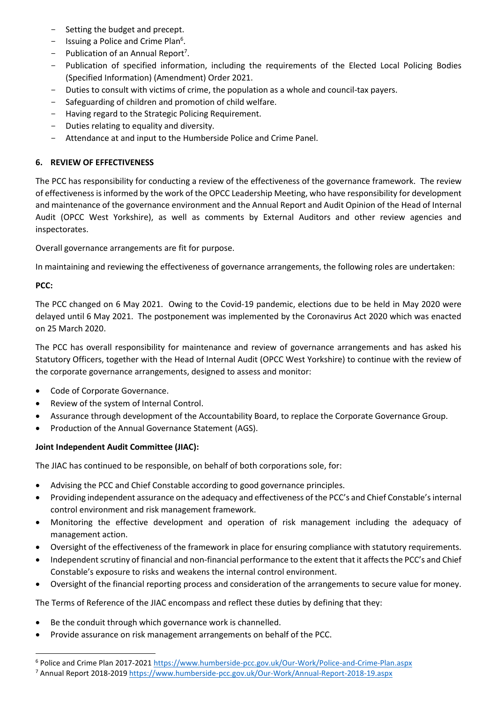- Setting the budget and precept.
- Issuing a Police and Crime Plan<sup>6</sup>.
- $-$  Publication of an Annual Report<sup>7</sup>.
- Publication of specified information, including the requirements of the Elected Local Policing Bodies (Specified Information) (Amendment) Order 2021.
- Duties to consult with victims of crime, the population as a whole and council-tax payers.
- Safeguarding of children and promotion of child welfare.
- Having regard to the Strategic Policing Requirement.
- Duties relating to equality and diversity.
- Attendance at and input to the Humberside Police and Crime Panel.

### **6. REVIEW OF EFFECTIVENESS**

The PCC has responsibility for conducting a review of the effectiveness of the governance framework. The review of effectiveness is informed by the work of the OPCC Leadership Meeting, who have responsibility for development and maintenance of the governance environment and the Annual Report and Audit Opinion of the Head of Internal Audit (OPCC West Yorkshire), as well as comments by External Auditors and other review agencies and inspectorates.

Overall governance arrangements are fit for purpose.

In maintaining and reviewing the effectiveness of governance arrangements, the following roles are undertaken:

## **PCC:**

The PCC changed on 6 May 2021. Owing to the Covid-19 pandemic, elections due to be held in May 2020 were delayed until 6 May 2021. The postponement was implemented by the Coronavirus Act 2020 which was enacted on 25 March 2020.

The PCC has overall responsibility for maintenance and review of governance arrangements and has asked his Statutory Officers, together with the Head of Internal Audit (OPCC West Yorkshire) to continue with the review of the corporate governance arrangements, designed to assess and monitor:

- Code of Corporate Governance.
- Review of the system of Internal Control.
- Assurance through development of the Accountability Board, to replace the Corporate Governance Group.
- Production of the Annual Governance Statement (AGS).

### **Joint Independent Audit Committee (JIAC):**

The JIAC has continued to be responsible, on behalf of both corporations sole, for:

- Advising the PCC and Chief Constable according to good governance principles.
- Providing independent assurance on the adequacy and effectiveness of the PCC's and Chief Constable's internal control environment and risk management framework.
- Monitoring the effective development and operation of risk management including the adequacy of management action.
- Oversight of the effectiveness of the framework in place for ensuring compliance with statutory requirements.
- Independent scrutiny of financial and non-financial performance to the extent that it affects the PCC's and Chief Constable's exposure to risks and weakens the internal control environment.
- Oversight of the financial reporting process and consideration of the arrangements to secure value for money.

The Terms of Reference of the JIAC encompass and reflect these duties by defining that they:

- Be the conduit through which governance work is channelled.
- Provide assurance on risk management arrangements on behalf of the PCC.

<sup>6</sup> Police and Crime Plan 2017-2021 <https://www.humberside-pcc.gov.uk/Our-Work/Police-and-Crime-Plan.aspx>

<sup>7</sup> Annual Report 2018-2019 <https://www.humberside-pcc.gov.uk/Our-Work/Annual-Report-2018-19.aspx>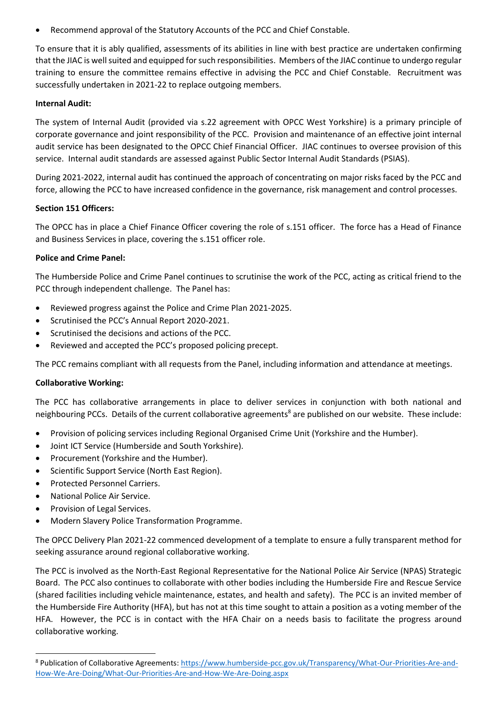• Recommend approval of the Statutory Accounts of the PCC and Chief Constable.

To ensure that it is ably qualified, assessments of its abilities in line with best practice are undertaken confirming that the JIAC is well suited and equipped for such responsibilities. Members of the JIAC continue to undergo regular training to ensure the committee remains effective in advising the PCC and Chief Constable. Recruitment was successfully undertaken in 2021-22 to replace outgoing members.

#### **Internal Audit:**

The system of Internal Audit (provided via s.22 agreement with OPCC West Yorkshire) is a primary principle of corporate governance and joint responsibility of the PCC. Provision and maintenance of an effective joint internal audit service has been designated to the OPCC Chief Financial Officer. JIAC continues to oversee provision of this service. Internal audit standards are assessed against Public Sector Internal Audit Standards (PSIAS).

During 2021-2022, internal audit has continued the approach of concentrating on major risks faced by the PCC and force, allowing the PCC to have increased confidence in the governance, risk management and control processes.

#### **Section 151 Officers:**

The OPCC has in place a Chief Finance Officer covering the role of s.151 officer. The force has a Head of Finance and Business Services in place, covering the s.151 officer role.

#### **Police and Crime Panel:**

The Humberside Police and Crime Panel continues to scrutinise the work of the PCC, acting as critical friend to the PCC through independent challenge. The Panel has:

- Reviewed progress against the Police and Crime Plan 2021-2025.
- Scrutinised the PCC's Annual Report 2020-2021.
- Scrutinised the decisions and actions of the PCC.
- Reviewed and accepted the PCC's proposed policing precept.

The PCC remains compliant with all requests from the Panel, including information and attendance at meetings.

### **Collaborative Working:**

The PCC has collaborative arrangements in place to deliver services in conjunction with both national and neighbouring PCCs. Details of the current collaborative agreements<sup>8</sup> are published on our website. These include:

- Provision of policing services [including Regional Organised Crime Unit](https://www.humberside-pcc.gov.uk/Document-Library/Working-for-You/Transparency/What-our-priorities-are/Collaboration-Agreement-for-the-provision-of-policing-services.pdf) (Yorkshire and the Humber).
- Joint [ICT Service](https://www.humberside-pcc.gov.uk/Document-Library/Working-for-You/Transparency/What-our-priorities-are/Joint-ICT-service.pdf) (Humberside and South Yorkshire).
- [Procurement](https://www.humberside-pcc.gov.uk/Document-Library/Working-for-You/Transparency/What-our-priorities-are/Procurement.pdf) (Yorkshire and the Humber).
- [Scientific Support Service](https://www.humberside-pcc.gov.uk/Document-Library/Working-for-You/Transparency/What-our-priorities-are/Scientific-Support-Service.pdf) (North East Region).
- [Protected Personnel Carriers.](https://www.humberside-pcc.gov.uk/Document-Library/Working-for-You/Transparency/What-our-priorities-are/Protected-Personnel-Carriers.pdf)
- [National Police Air Service.](https://www.humberside-pcc.gov.uk/Document-Library/Working-for-You/Transparency/What-our-priorities-are/National-Police-Air-Service.pdf)
- [Provision of Legal Services.](https://www.humberside-pcc.gov.uk/Document-Library/Working-for-You/Transparency/What-our-priorities-are/20191127-Provision-of-Legal-Services-WYP-SYP-HP.pdf)
- [Modern Slavery Police Transformation Programme.](https://www.humberside-pcc.gov.uk/Document-Library/Working-for-You/Transparency/What-our-priorities-are/20200113-S22A-Modern-Slavery-Police-Transformation-Programme.pdf)

The OPCC Delivery Plan 2021-22 commenced development of a template to ensure a fully transparent method for seeking assurance around regional collaborative working.

The PCC is involved as the North-East Regional Representative for the National Police Air Service (NPAS) Strategic Board. The PCC also continues to collaborate with other bodies including the Humberside Fire and Rescue Service (shared facilities including vehicle maintenance, estates, and health and safety). The PCC is an invited member of the Humberside Fire Authority (HFA), but has not at this time sought to attain a position as a voting member of the HFA. However, the PCC is in contact with the HFA Chair on a needs basis to facilitate the progress around collaborative working.

<sup>8</sup> Publication of Collaborative Agreements: [https://www.humberside-pcc.gov.uk/Transparency/What-Our-Priorities-Are-and-](https://www.humberside-pcc.gov.uk/Transparency/What-Our-Priorities-Are-and-How-We-Are-Doing/What-Our-Priorities-Are-and-How-We-Are-Doing.aspx)[How-We-Are-Doing/What-Our-Priorities-Are-and-How-We-Are-Doing.aspx](https://www.humberside-pcc.gov.uk/Transparency/What-Our-Priorities-Are-and-How-We-Are-Doing/What-Our-Priorities-Are-and-How-We-Are-Doing.aspx)